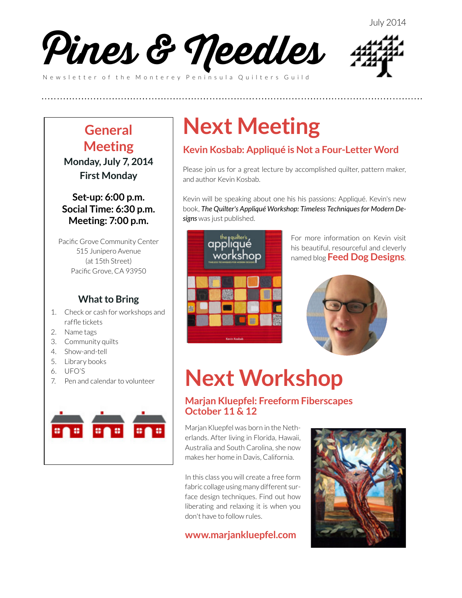



### **General Meeting**

**Monday, July 7, 2014 First Monday**

### **Set-up: 6:00 p.m. Social Time: 6:30 p.m. Meeting: 7:00 p.m.**

Pacific Grove Community Center 515 Junipero Avenue (at 15th Street) Pacific Grove, CA 93950

### **What to Bring**

- 1. Check or cash for workshops and raffle tickets
- 2. Name tags
- 3. Community quilts
- 4. Show-and-tell
- 5. Library books
- 6. UFO'S
- 7. Pen and calendar to volunteer



# **Next Meeting**

**(((((((((((((((((((((((((**

### **Kevin Kosbab: Appliqué is Not a Four-Letter Word**

Please join us for a great lecture by accomplished quilter, pattern maker, and author Kevin Kosbab.

Kevin will be speaking about one his his passions: Appliqué. Kevin's new book, *The Quilter's Appliqué Workshop: Timeless Techniques for Modern Designs* was just published.



For more information on Kevin visit his beautiful, resourceful and cleverly named blog **[Feed Dog Designs](http://www.feeddog.net/)**.



# **Next Workshop**

### **Marjan Kluepfel: Freeform Fiberscapes October 11 & 12**

Marjan Kluepfel was born in the Netherlands. After living in Florida, Hawaii, Australia and South Carolina, she now makes her home in Davis, California.

In this class you will create a free form fabric collage using many different surface design techniques. Find out how liberating and relaxing it is when you don't have to follow rules.

### **[www.marjankluepfel.com](http://www.marjankluepfel.com)**

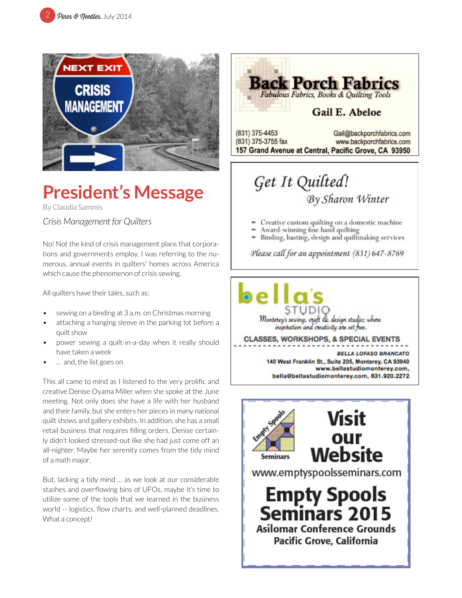

# **President's Message**

By Claudia Sammis

*Crisis Management for Quilters*

No! Not the kind of crisis management plans that corporations and governments employ. I was referring to the numerous, annual events in quilters' homes across America which cause the phenomenon of crisis sewing.

All quilters have their tales, such as:

- sewing on a binding at 3 a.m. on Christmas morning
- attaching a hanging sleeve in the parking lot before a quilt show
- power sewing a quilt-in-a-day when it really should have taken a week
- ... and, the list goes on

This all came to mind as I listened to the very prolific and creative Denise Oyama Miller when she spoke at the June meeting. Not only does she have a life with her husband and their family, but she enters her pieces in many national quilt shows and gallery exhibits. In addition, she has a small retail business that requires filling orders. Denise certainly didn't looked stressed-out like she had just come off an all-nighter. Maybe her serenity comes from the tidy mind of a math major.

But, lacking a tidy mind ... as we look at our considerable stashes and overflowing bins of UFOs, maybe it's time to utilize some of the tools that we learned in the business world -- logistics, flow charts, and well-planned deadlines. What a concept!



# By Sharon Winter

- Creative custom quilting on a domestic machine
- Award-winning fine hand quilting
- Binding, basting, design and quiltmaking services

Please call for an appointment (831) 647-8769

Monterey's sewing, craft & design studio; where inspitation and creativity are set free.

**CLASSES, WORKSHOPS, & SPECIAL EVENTS** 

**BELLA LOFASO BRANCATO** 140 West Franklin St., Suite 205, Monterey, CA 93940 www.bellastudiomonterey.com, bella@bellastudiomonterey.com, 831.920.2272

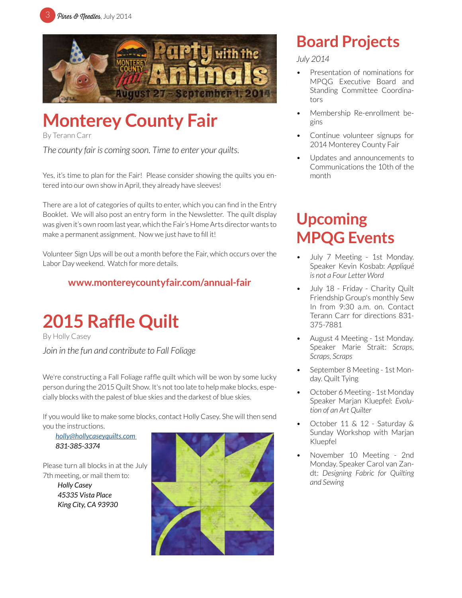



# **Monterey County Fair**

By Terann Carr

*The county fair is coming soon. Time to enter your quilts.*

Yes, it's time to plan for the Fair! Please consider showing the quilts you entered into our own show in April, they already have sleeves!

There are a lot of categories of quilts to enter, which you can find in the Entry Booklet. We will also post an entry form in the Newsletter. The quilt display was given it's own room last year, which the Fair's Home Arts director wants to make a permanent assignment. Now we just have to fill it!

Volunteer Sign Ups will be out a month before the Fair, which occurs over the Labor Day weekend. Watch for more details.

### **w[ww.montereycountyfair.com/annual-fair](http://www.montereycountyfair.com/annual-fair )**



By Holly Casey *Join in the fun and contribute to Fall Foliage*

We're constructing a Fall Foliage raffle quilt which will be won by some lucky person during the 2015 Quilt Show. It's not too late to help make blocks, especially blocks with the palest of blue skies and the darkest of blue skies.

If you would like to make some blocks, contact Holly Casey. She will then send you the instructions.

*[holly@hollycaseyquilts.com](mailto:holly%40hollycaseyquilts.com%20?subject=2015%20Raffle%20Quilt)  831-385-3374*

Please turn all blocks in at the July 7th meeting, or mail them to:

> *Holly Casey 45335 Vista Place King City, CA 93930*



## **Board Projects**

*July 2014*

- Presentation of nominations for MPQG Executive Board and Standing Committee Coordinators
- Membership Re-enrollment begins
- Continue volunteer signups for 2014 Monterey County Fair
- Updates and announcements to Communications the 10th of the month

# **Upcoming MPQG Events**

- July 7 Meeting 1st Monday. Speaker Kevin Kosbab: *Appliqué is not a Four Letter Word*
- July 18 Friday Charity Quilt Friendship Group's monthly Sew In from 9:30 a.m. on. Contact Terann Carr for directions 831- 375-7881
- August 4 Meeting 1st Monday. Speaker Marie Strait: *Scraps, Scraps, Scraps*
- September 8 Meeting 1st Monday. Quilt Tying
- October 6 Meeting 1st Monday Speaker Marjan Kluepfel: *Evolution of an Art Quilter*
- October 11 & 12 Saturday & Sunday Workshop with Marjan Kluepfel
- November 10 Meeting 2nd Monday. Speaker Carol van Zandt: *Designing Fabric for Quilting and Sewing*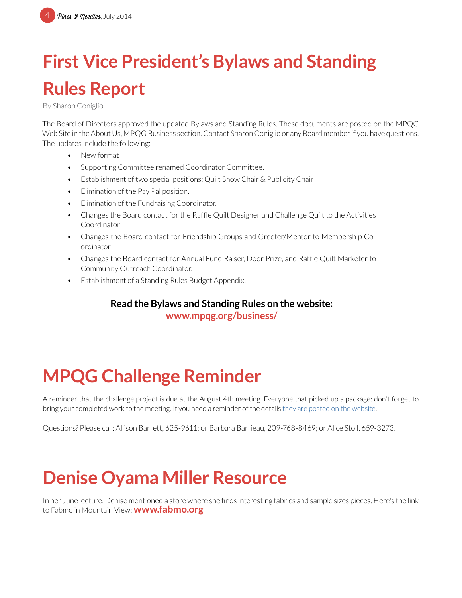# **First Vice President's Bylaws and Standing Rules Report**

By Sharon Coniglio

The Board of Directors approved the updated Bylaws and Standing Rules. These documents are posted on the MPQG Web Site in the About Us, MPQG Business section. Contact Sharon Coniglio or any Board member if you have questions. The updates include the following:

- New format
- Supporting Committee renamed Coordinator Committee.
- Establishment of two special positions: Quilt Show Chair & Publicity Chair
- Elimination of the Pay Pal position.
- Elimination of the Fundraising Coordinator.
- Changes the Board contact for the Raffle Quilt Designer and Challenge Quilt to the Activities Coordinator
- Changes the Board contact for Friendship Groups and Greeter/Mentor to Membership Coordinator
- Changes the Board contact for Annual Fund Raiser, Door Prize, and Raffle Quilt Marketer to Community Outreach Coordinator.
- Establishment of a Standing Rules Budget Appendix.

### **Read the Bylaws and Standing Rules on the website:**

**[www.mpqg.org/business/](http://www.mpqg.org/business/)**

# **MPQG Challenge Reminder**

A reminder that the challenge project is due at the August 4th meeting. Everyone that picked up a package: don't forget to bring your completed work to the meeting. If you need a reminder of the details [they are posted on the website.](http://www.mpqg.org/news/2014/05/14/mpqg-presents-quilt-challenge-2014/)

Questions? Please call: Allison Barrett, 625-9611; or Barbara Barrieau, 209-768-8469; or Alice Stoll, 659-3273.

# **Denise Oyama Miller Resource**

In her June lecture, Denise mentioned a store where she finds interesting fabrics and sample sizes pieces. Here's the link to Fabmo in Mountain View: **[www.fabmo.org](http://www.fabmo.org)**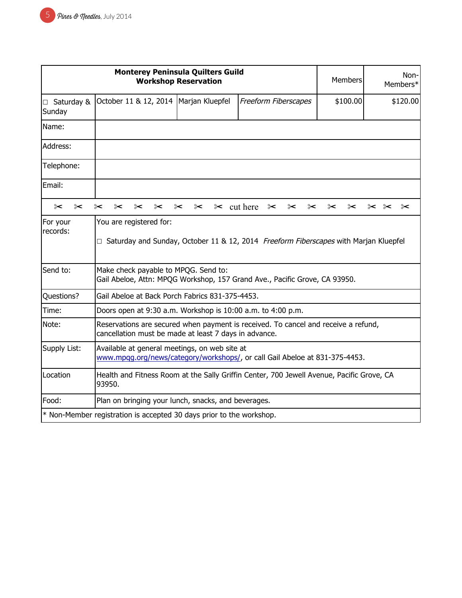| <b>Monterey Peninsula Quilters Guild</b><br><b>Workshop Reservation</b> |                                                                                                                                             |                 | <b>Members</b>                            | Non-<br>Members* |                             |
|-------------------------------------------------------------------------|---------------------------------------------------------------------------------------------------------------------------------------------|-----------------|-------------------------------------------|------------------|-----------------------------|
| $\Box$ Saturday &<br>Sunday                                             | October 11 & 12, 2014                                                                                                                       | Marjan Kluepfel | Freeform Fiberscapes                      | \$100.00         | \$120.00                    |
| Name:                                                                   |                                                                                                                                             |                 |                                           |                  |                             |
| Address:                                                                |                                                                                                                                             |                 |                                           |                  |                             |
| Telephone:                                                              |                                                                                                                                             |                 |                                           |                  |                             |
| Email:                                                                  |                                                                                                                                             |                 |                                           |                  |                             |
| $\approx$<br>⊱⊱                                                         | $\approx$<br>⊱<br>⊱<br>⊱                                                                                                                    | ⊱<br>⊱          | $\approx$ cut here<br>$\approx$<br>⊱<br>⊱ | ⊱<br>⊱           | $\approx$<br>$\approx$<br>⊱ |
| For your<br>records:                                                    | You are registered for:<br>□ Saturday and Sunday, October 11 & 12, 2014 Freeform Fiberscapes with Marjan Kluepfel                           |                 |                                           |                  |                             |
| Send to:                                                                | Make check payable to MPQG. Send to:<br>Gail Abeloe, Attn: MPQG Workshop, 157 Grand Ave., Pacific Grove, CA 93950.                          |                 |                                           |                  |                             |
| Questions?                                                              | Gail Abeloe at Back Porch Fabrics 831-375-4453.                                                                                             |                 |                                           |                  |                             |
| Time:                                                                   | Doors open at 9:30 a.m. Workshop is 10:00 a.m. to 4:00 p.m.                                                                                 |                 |                                           |                  |                             |
| Note:                                                                   | Reservations are secured when payment is received. To cancel and receive a refund,<br>cancellation must be made at least 7 days in advance. |                 |                                           |                  |                             |
| Supply List:                                                            | Available at general meetings, on web site at<br>www.mpgg.org/news/category/workshops/, or call Gail Abeloe at 831-375-4453.                |                 |                                           |                  |                             |
| Location                                                                | Health and Fitness Room at the Sally Griffin Center, 700 Jewell Avenue, Pacific Grove, CA<br>93950.                                         |                 |                                           |                  |                             |
| Food:                                                                   | Plan on bringing your lunch, snacks, and beverages.                                                                                         |                 |                                           |                  |                             |
|                                                                         | * Non-Member registration is accepted 30 days prior to the workshop.                                                                        |                 |                                           |                  |                             |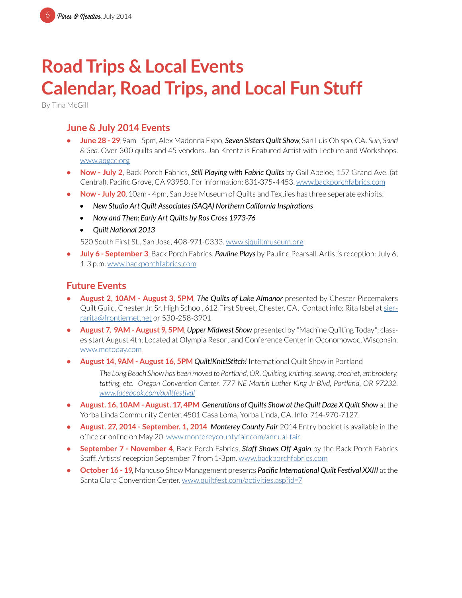# **Road Trips & Local Events Calendar, Road Trips, and Local Fun Stuff**

By Tina McGill

### **June & July 2014 Events**

- **• June 28 29**, 9am 5pm, Alex Madonna Expo, *Seven Sisters Quilt Show*, San Luis Obispo, CA. *Sun, Sand & Sea*. Over 300 quilts and 45 vendors. Jan Krentz is Featured Artist with Lecture and Workshops. [www.aqgcc.org](http://www.aqgcc.org)
- **• Now July 2**, Back Porch Fabrics, *Still Playing with Fabric Quilts* by Gail Abeloe, 157 Grand Ave. (at Central), Pacific Grove, CA 93950. For information: 831-375-4453. [www.backporchfabrics.com](http://www.backporchfabrics.com)
- **Now July 20**, 10am 4pm, San Jose Museum of Quilts and Textiles has three seperate exhibits:
	- *• New Studio Art Quilt Associates (SAQA) Northern California Inspirations*
	- *• Now and Then: Early Art Quilts by Ros Cross 1973-76*
	- *• Quilt National 2013*

520 South First St., San Jose, 408-971-0333. [www.sjquiltmuseum.or](http://www.sjquiltmuseum.org)g

**• July 6 - September 3**, Back Porch Fabrics, *Pauline Plays* by Pauline Pearsall. Artist's reception: July 6, 1-3 p.m. [www.backporchfabrics.com](http://www.backporchfabrics.com)

### **Future Events**

- **• August 2, 10AM August 3, 5PM**, *The Quilts of Lake Almanor* presented by Chester Piecemakers Quilt Guild, Chester Jr. Sr. High School, 612 First Street, Chester, CA. Contact info: Rita Isbel at [sier](mailto:sierrarita%40frontiernet.net?subject=The%20Quilts%20of%20Lake%20Almanor)[rarita@frontiernet.net](mailto:sierrarita%40frontiernet.net?subject=The%20Quilts%20of%20Lake%20Almanor) or 530-258-3901
- **• August 7, 9AM August 9, 5PM**, *Upper Midwest Show* presented by "Machine Quilting Today"; classes start August 4th; Located at Olympia Resort and Conference Center in Oconomowoc, Wisconsin. [www.mqtoday.com](http://www.mqtoday.com)
- **• August 14, 9AM August 16, 5PM** *Quilt!Knit!Stitch!* International Quilt Show in Portland

*The Long Beach Show has been moved to Portland, OR. Quilting, knitting, sewing, crochet, embroidery, tatting, etc. Oregon Convention Center. 777 NE Martin Luther King Jr Blvd, Portland, OR 97232. [www.facebook.com/quiltfestival](http://www.facebook.com/quiltfestival)*

- **• August. 16, 10AM August. 17, 4PM** *Generations of Quilts Show at the Quilt Daze X Quilt Show* at the Yorba Linda Community Center, 4501 Casa Loma, Yorba Linda, CA. Info: 714-970-7127.
- **• August. 27, 2014 September. 1, 2014** *Monterey County Fair* 2014 Entry booklet is available in the office or online on May 20. [www.montereycountyfair.com/annual-fair](http://www.montereycountyfair.com/annual-fair)
- **• September 7 November 4**, Back Porch Fabrics, *Staff Shows Off Again* by the Back Porch Fabrics Staff. Artists' reception September 7 from 1-3pm. [www.backporchfabrics.com](http://www.backporchfabrics.com)
- **• October 16 19**, Mancuso Show Management presents *Pacific International Quilt Festival XXIII* at the Santa Clara Convention Center. [www.quiltfest.com/activities.asp?id=7](http://www.quiltfest.com/activities.asp?id=7)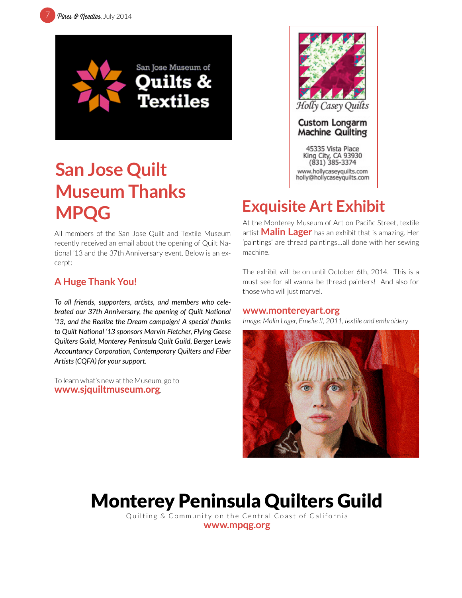



# **San Jose Quilt Museum Thanks MPQG Exquisite Art Exhibit**

All members of the San Jose Quilt and Textile Museum recently received an email about the opening of Quilt National '13 and the 37th Anniversary event. Below is an excerpt:

### **A Huge Thank You!**

*To all friends, supporters, artists, and members who celebrated our 37th Anniversary, the opening of Quilt National '13, and the Realize the Dream campaign! A special thanks to Quilt National '13 sponsors Marvin Fletcher, Flying Geese Quilters Guild, Monterey Peninsula Quilt Guild, Berger Lewis Accountancy Corporation, Contemporary Quilters and Fiber Artists (CQFA) for your support.*

To learn what's new at the Museum, go to **[www.sjquiltmuseum.org](http://www.sjquiltmuseum.org)**.



At the Monterey Museum of Art on Pacific Street, textile artist **Malin Lager** has an exhibit that is amazing. Her 'paintings' are thread paintings…all done with her sewing machine.

The exhibit will be on until October 6th, 2014. This is a must see for all wanna-be thread painters! And also for those who will just marvel.

#### **[www.montereyart.org](http://www.montereyart.org)**

*Image: Malin Lager, Emelie II, 2011, textile and embroidery*



# Monterey Peninsula Quilters Guild

Quilting & Community on the Central Coast of California **[www.mpqg.org](http://www.mpqg.org)**